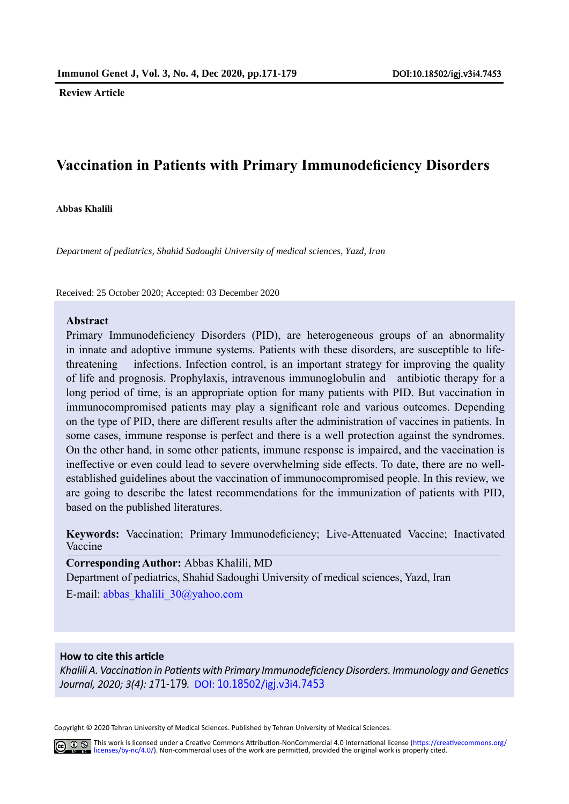**Review Article**

# **Vaccination in Patients with Primary Immunodeficiency Disorders**

**Abbas Khalili**

*Department of pediatrics, Shahid Sadoughi University of medical sciences, Yazd, Iran*

Received: 25 October 2020; Accepted: 03 December 2020

#### **Abstract**

Primary Immunodeficiency Disorders (PID), are heterogeneous groups of an abnormality in innate and adoptive immune systems. Patients with these disorders, are susceptible to lifethreatening infections. Infection control, is an important strategy for improving the quality of life and prognosis. Prophylaxis, intravenous immunoglobulin and antibiotic therapy for a long period of time, is an appropriate option for many patients with PID. But vaccination in immunocompromised patients may play a significant role and various outcomes. Depending on the type of PID, there are different results after the administration of vaccines in patients. In some cases, immune response is perfect and there is a well protection against the syndromes. On the other hand, in some other patients, immune response is impaired, and the vaccination is ineffective or even could lead to severe overwhelming side effects. To date, there are no wellestablished guidelines about the vaccination of immunocompromised people. In this review, we are going to describe the latest recommendations for the immunization of patients with PID, based on the published literatures.

**Keywords:** Vaccination; Primary Immunodeficiency; Live-Attenuated Vaccine; Inactivated Vaccine

**Corresponding Author:** Abbas Khalili, MD

Department of pediatrics, Shahid Sadoughi University of medical sciences, Yazd, Iran E-mail: abbas\_khalili\_30@yahoo.com

#### **How to cite this article**

*Khalili A. Vaccination in Patients with Primary Immunodeficiency Disorders. Immunology and Genetics Journal, 2020; 3(4): 171-1[79](http://).* DOI: 10.18502/igj.v3i4.7453

Copyright © 2020 Tehran University of Medical Sciences. Published by Tehran University of Medical Sciences.

Co O S This work is licensed under a Creative Commons Attribution-NonCommercial 4.0 International license (https://creativecommons.org/ licenses/by-nc/4.0/). Non-commercial uses of the work are permitted, provided the original work is properly cited.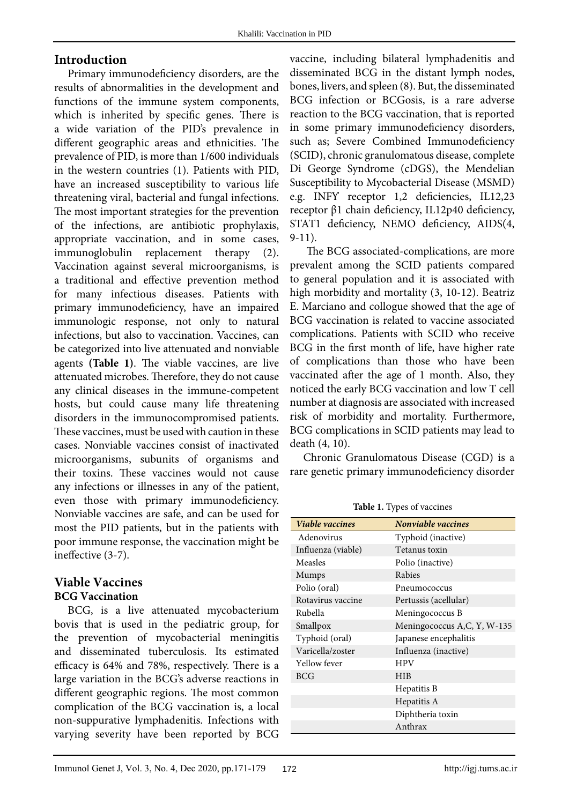#### **Introduction**

immunoglobulin replacement therapy (2). Primary immunodeficiency disorders, are the results of abnormalities in the development and functions of the immune system components, which is inherited by specific genes. There is a wide variation of the PID's prevalence in different geographic areas and ethnicities. The prevalence of PID, is more than 1/600 individuals in the western countries (1). Patients with PID, have an increased susceptibility to various life threatening viral, bacterial and fungal infections. The most important strategies for the prevention of the infections, are antibiotic prophylaxis, appropriate vaccination, and in some cases, Vaccination against several microorganisms, is a traditional and effective prevention method for many infectious diseases. Patients with primary immunodeficiency, have an impaired immunologic response, not only to natural infections, but also to vaccination. Vaccines, can be categorized into live attenuated and nonviable agents **(Table 1)**. The viable vaccines, are live attenuated microbes. Therefore, they do not cause any clinical diseases in the immune-competent hosts, but could cause many life threatening disorders in the immunocompromised patients. These vaccines, must be used with caution in these cases. Nonviable vaccines consist of inactivated microorganisms, subunits of organisms and their toxins. These vaccines would not cause any infections or illnesses in any of the patient, even those with primary immunodeficiency. Nonviable vaccines are safe, and can be used for most the PID patients, but in the patients with poor immune response, the vaccination might be ineffective (3-7).

#### **Viable Vaccines BCG Vaccination**

BCG, is a live attenuated mycobacterium bovis that is used in the pediatric group, for the prevention of mycobacterial meningitis and disseminated tuberculosis. Its estimated efficacy is 64% and 78%, respectively. There is a large variation in the BCG's adverse reactions in different geographic regions. The most common complication of the BCG vaccination is, a local non-suppurative lymphadenitis. Infections with varying severity have been reported by BCG

vaccine, including bilateral lymphadenitis and disseminated BCG in the distant lymph nodes, bones, livers, and spleen (8). But, the disseminated BCG infection or BCGosis, is a rare adverse reaction to the BCG vaccination, that is reported in some primary immunodeficiency disorders, such as; Severe Combined Immunodeficiency (SCID), chronic granulomatous disease, complete Di George Syndrome (cDGS), the Mendelian Susceptibility to Mycobacterial Disease (MSMD) e.g. INFƳ receptor 1,2 deficiencies, IL12,23 receptor β1 chain deficiency, IL12p40 deficiency, STAT1 deficiency, NEMO deficiency, AIDS(4, 9-11).

 The BCG associated-complications, are more prevalent among the SCID patients compared to general population and it is associated with high morbidity and mortality (3, 10-12). Beatriz E. Marciano and collogue showed that the age of BCG vaccination is related to vaccine associated complications. Patients with SCID who receive BCG in the first month of life, have higher rate of complications than those who have been vaccinated after the age of 1 month. Also, they noticed the early BCG vaccination and low T cell number at diagnosis are associated with increased risk of morbidity and mortality. Furthermore, BCG complications in SCID patients may lead to death (4, 10).

Chronic Granulomatous Disease (CGD) is a rare genetic primary immunodeficiency disorder

**Table 1:** Types of vaccines **Table 1.** Types of vaccines

| Viable vaccines    | Nonviable vaccines          |
|--------------------|-----------------------------|
|                    |                             |
| Adenovirus         | Typhoid (inactive)          |
| Influenza (viable) | Tetanus toxin               |
| Measles            | Polio (inactive)            |
| Mumps              | Rabies                      |
| Polio (oral)       | Pneumococcus                |
| Rotavirus vaccine  | Pertussis (acellular)       |
| Rubella            | Meningococcus B             |
| Smallpox           | Meningococcus A,C, Y, W-135 |
| Typhoid (oral)     | Japanese encephalitis       |
| Varicella/zoster   | Influenza (inactive)        |
| Yellow fever       | HPV                         |
| <b>BCG</b>         | HIB                         |
|                    | Hepatitis B                 |
|                    | Hepatitis A                 |
|                    | Diphtheria toxin            |
|                    | Anthrax                     |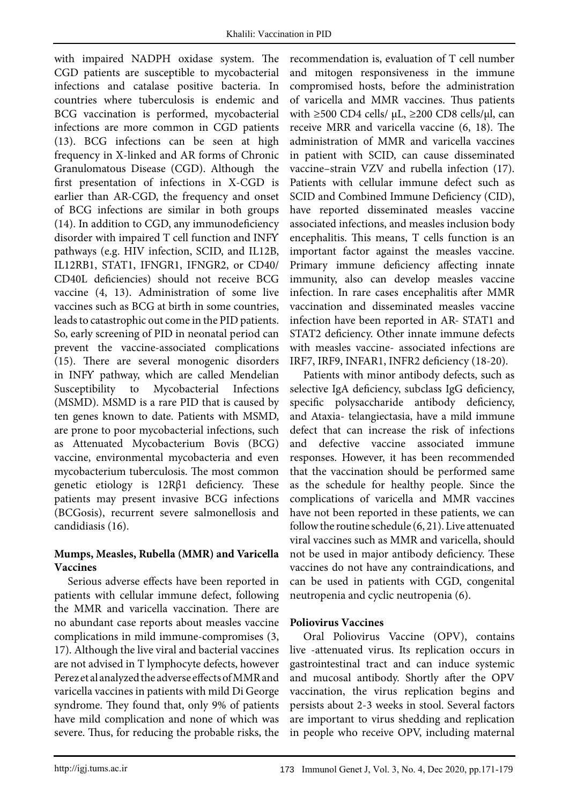Susceptibility to Mycobacterial Infections with impaired NADPH oxidase system. The CGD patients are susceptible to mycobacterial infections and catalase positive bacteria. In countries where tuberculosis is endemic and BCG vaccination is performed, mycobacterial infections are more common in CGD patients (13). BCG infections can be seen at high frequency in X-linked and AR forms of Chronic Granulomatous Disease (CGD). Although the first presentation of infections in X-CGD is earlier than AR-CGD, the frequency and onset of BCG infections are similar in both groups (14). In addition to CGD, any immunodeficiency disorder with impaired T cell function and INFƳ pathways (e.g. HIV infection, SCID, and IL12B, IL12RB1, STAT1, IFNGR1, IFNGR2, or CD40/ CD40L deficiencies) should not receive BCG vaccine (4, 13). Administration of some live vaccines such as BCG at birth in some countries, leads to catastrophic out come in the PID patients. So, early screening of PID in neonatal period can prevent the vaccine-associated complications (15). There are several monogenic disorders in INFƳ pathway, which are called Mendelian (MSMD). MSMD is a rare PID that is caused by ten genes known to date. Patients with MSMD, are prone to poor mycobacterial infections, such as Attenuated Mycobacterium Bovis (BCG) vaccine, environmental mycobacteria and even mycobacterium tuberculosis. The most common genetic etiology is 12Rβ1 deficiency. These patients may present invasive BCG infections (BCGosis), recurrent severe salmonellosis and candidiasis (16).

### **Mumps, Measles, Rubella (MMR) and Varicella Vaccines**

Serious adverse effects have been reported in patients with cellular immune defect, following the MMR and varicella vaccination. There are no abundant case reports about measles vaccine complications in mild immune-compromises (3, 17). Although the live viral and bacterial vaccines are not advised in T lymphocyte defects, however Perez et al analyzed the adverse effects of MMR and varicella vaccines in patients with mild Di George syndrome. They found that, only 9% of patients have mild complication and none of which was severe. Thus, for reducing the probable risks, the

recommendation is, evaluation of T cell number and mitogen responsiveness in the immune compromised hosts, before the administration of varicella and MMR vaccines. Thus patients with ≥500 CD4 cells/  $\mu$ L, ≥200 CD8 cells/ $\mu$ l, can receive MRR and varicella vaccine (6, 18). The administration of MMR and varicella vaccines in patient with SCID, can cause disseminated vaccine–strain VZV and rubella infection (17). Patients with cellular immune defect such as SCID and Combined Immune Deficiency (CID), have reported disseminated measles vaccine associated infections, and measles inclusion body encephalitis. This means, T cells function is an important factor against the measles vaccine. Primary immune deficiency affecting innate immunity, also can develop measles vaccine infection. In rare cases encephalitis after MMR vaccination and disseminated measles vaccine infection have been reported in AR- STAT1 and STAT2 deficiency. Other innate immune defects with measles vaccine- associated infections are IRF7, IRF9, INFAR1, INFR2 deficiency (18-20).

Patients with minor antibody defects, such as selective IgA deficiency, subclass IgG deficiency, specific polysaccharide antibody deficiency, and Ataxia- telangiectasia, have a mild immune defect that can increase the risk of infections and defective vaccine associated immune responses. However, it has been recommended that the vaccination should be performed same as the schedule for healthy people. Since the complications of varicella and MMR vaccines have not been reported in these patients, we can follow the routine schedule (6, 21). Live attenuated viral vaccines such as MMR and varicella, should not be used in major antibody deficiency. These vaccines do not have any contraindications, and can be used in patients with CGD, congenital neutropenia and cyclic neutropenia (6).

### **Poliovirus Vaccines**

Oral Poliovirus Vaccine (OPV), contains live -attenuated virus. Its replication occurs in gastrointestinal tract and can induce systemic and mucosal antibody. Shortly after the OPV vaccination, the virus replication begins and persists about 2-3 weeks in stool. Several factors are important to virus shedding and replication in people who receive OPV, including maternal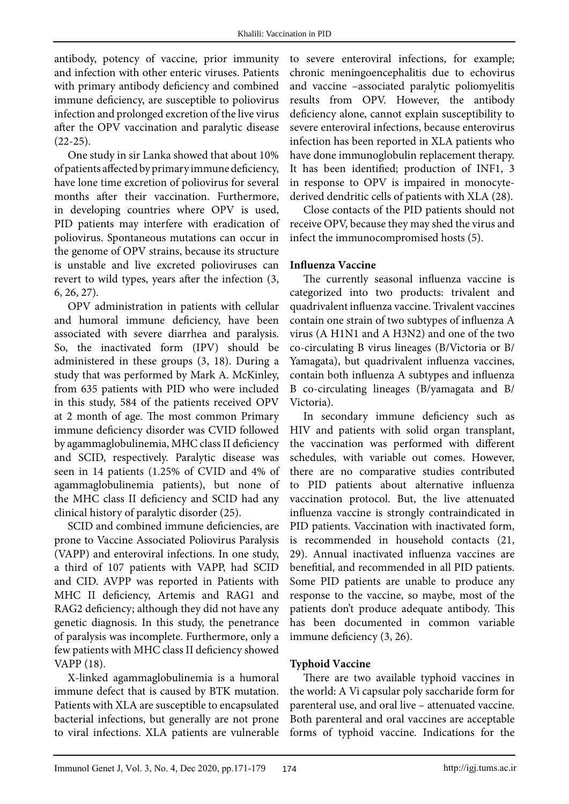antibody, potency of vaccine, prior immunity and infection with other enteric viruses. Patients with primary antibody deficiency and combined immune deficiency, are susceptible to poliovirus infection and prolonged excretion of the live virus after the OPV vaccination and paralytic disease  $(22-25).$ 

One study in sir Lanka showed that about 10% of patients affected by primary immune deficiency, have lone time excretion of poliovirus for several months after their vaccination. Furthermore, in developing countries where OPV is used, PID patients may interfere with eradication of poliovirus. Spontaneous mutations can occur in the genome of OPV strains, because its structure is unstable and live excreted polioviruses can revert to wild types, years after the infection (3, 6, 26, 27).

OPV administration in patients with cellular and humoral immune deficiency, have been associated with severe diarrhea and paralysis. So, the inactivated form (IPV) should be administered in these groups (3, 18). During a study that was performed by Mark A. McKinley, from 635 patients with PID who were included in this study, 584 of the patients received OPV at 2 month of age. The most common Primary immune deficiency disorder was CVID followed by agammaglobulinemia, MHC class II deficiency and SCID, respectively. Paralytic disease was seen in 14 patients (1.25% of CVID and 4% of agammaglobulinemia patients), but none of the MHC class II deficiency and SCID had any clinical history of paralytic disorder (25).

SCID and combined immune deficiencies, are prone to Vaccine Associated Poliovirus Paralysis (VAPP) and enteroviral infections. In one study, a third of 107 patients with VAPP, had SCID and CID. AVPP was reported in Patients with MHC II deficiency, Artemis and RAG1 and RAG2 deficiency; although they did not have any genetic diagnosis. In this study, the penetrance of paralysis was incomplete. Furthermore, only a few patients with MHC class II deficiency showed VAPP (18).

X-linked agammaglobulinemia is a humoral immune defect that is caused by BTK mutation. Patients with XLA are susceptible to encapsulated bacterial infections, but generally are not prone to viral infections. XLA patients are vulnerable

to severe enteroviral infections, for example; chronic meningoencephalitis due to echovirus and vaccine –associated paralytic poliomyelitis results from OPV. However, the antibody deficiency alone, cannot explain susceptibility to severe enteroviral infections, because enterovirus infection has been reported in XLA patients who have done immunoglobulin replacement therapy. It has been identified; production of INF1, 3 in response to OPV is impaired in monocytederived dendritic cells of patients with XLA (28).

Close contacts of the PID patients should not receive OPV, because they may shed the virus and infect the immunocompromised hosts (5).

#### **Influenza Vaccine**

The currently seasonal influenza vaccine is categorized into two products: trivalent and quadrivalent influenza vaccine. Trivalent vaccines contain one strain of two subtypes of influenza A virus (A H1N1 and A H3N2) and one of the two co-circulating B virus lineages (B/Victoria or B/ Yamagata), but quadrivalent influenza vaccines, contain both influenza A subtypes and influenza B co-circulating lineages (B/yamagata and B/ Victoria).

In secondary immune deficiency such as HIV and patients with solid organ transplant, the vaccination was performed with different schedules, with variable out comes. However, there are no comparative studies contributed to PID patients about alternative influenza vaccination protocol. But, the live attenuated influenza vaccine is strongly contraindicated in PID patients. Vaccination with inactivated form, is recommended in household contacts (21, 29). Annual inactivated influenza vaccines are benefitial, and recommended in all PID patients. Some PID patients are unable to produce any response to the vaccine, so maybe, most of the patients don't produce adequate antibody. This has been documented in common variable immune deficiency (3, 26).

### **Typhoid Vaccine**

There are two available typhoid vaccines in the world: A Vi capsular poly saccharide form for parenteral use, and oral live – attenuated vaccine. Both parenteral and oral vaccines are acceptable forms of typhoid vaccine. Indications for the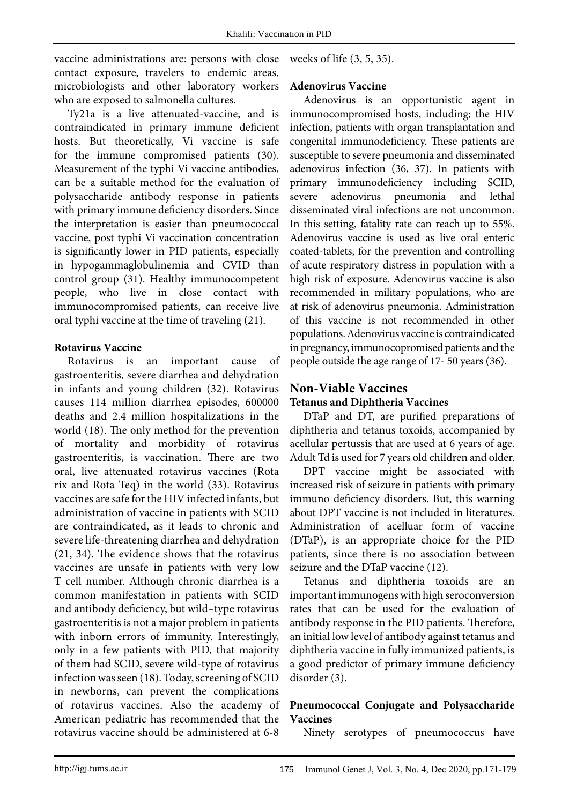vaccine administrations are: persons with close contact exposure, travelers to endemic areas, microbiologists and other laboratory workers who are exposed to salmonella cultures.

Ty21a is a live attenuated-vaccine, and is contraindicated in primary immune deficient hosts. But theoretically, Vi vaccine is safe for the immune compromised patients (30). Measurement of the typhi Vi vaccine antibodies, can be a suitable method for the evaluation of polysaccharide antibody response in patients with primary immune deficiency disorders. Since the interpretation is easier than pneumococcal vaccine, post typhi Vi vaccination concentration is significantly lower in PID patients, especially in hypogammaglobulinemia and CVID than control group (31). Healthy immunocompetent people, who live in close contact with immunocompromised patients, can receive live oral typhi vaccine at the time of traveling (21).

#### **Rotavirus Vaccine**

Rotavirus is an important cause of gastroenteritis, severe diarrhea and dehydration in infants and young children (32). Rotavirus causes 114 million diarrhea episodes, 600000 deaths and 2.4 million hospitalizations in the world (18). The only method for the prevention of mortality and morbidity of rotavirus gastroenteritis, is vaccination. There are two oral, live attenuated rotavirus vaccines (Rota rix and Rota Teq) in the world (33). Rotavirus vaccines are safe for the HIV infected infants, but administration of vaccine in patients with SCID are contraindicated, as it leads to chronic and severe life-threatening diarrhea and dehydration (21, 34). The evidence shows that the rotavirus vaccines are unsafe in patients with very low T cell number. Although chronic diarrhea is a common manifestation in patients with SCID and antibody deficiency, but wild–type rotavirus gastroenteritis is not a major problem in patients with inborn errors of immunity. Interestingly, only in a few patients with PID, that majority of them had SCID, severe wild-type of rotavirus infection was seen (18). Today, screening of SCID in newborns, can prevent the complications of rotavirus vaccines. Also the academy of American pediatric has recommended that the rotavirus vaccine should be administered at 6-8

weeks of life (3, 5, 35).

#### **Adenovirus Vaccine**

Adenovirus is an opportunistic agent in immunocompromised hosts, including; the HIV infection, patients with organ transplantation and congenital immunodeficiency. These patients are susceptible to severe pneumonia and disseminated adenovirus infection (36, 37). In patients with primary immunodeficiency including SCID, severe adenovirus pneumonia and lethal disseminated viral infections are not uncommon. In this setting, fatality rate can reach up to 55%. Adenovirus vaccine is used as live oral enteric coated-tablets, for the prevention and controlling of acute respiratory distress in population with a high risk of exposure. Adenovirus vaccine is also recommended in military populations, who are at risk of adenovirus pneumonia. Administration of this vaccine is not recommended in other populations. Adenovirus vaccine is contraindicated in pregnancy, immunocopromised patients and the people outside the age range of 17- 50 years (36).

## **Non-Viable Vaccines Tetanus and Diphtheria Vaccines**

DTaP and DT, are purified preparations of diphtheria and tetanus toxoids, accompanied by acellular pertussis that are used at 6 years of age. Adult Td is used for 7 years old children and older.

DPT vaccine might be associated with increased risk of seizure in patients with primary immuno deficiency disorders. But, this warning about DPT vaccine is not included in literatures. Administration of acelluar form of vaccine (DTaP), is an appropriate choice for the PID patients, since there is no association between seizure and the DTaP vaccine (12).

Tetanus and diphtheria toxoids are an important immunogens with high seroconversion rates that can be used for the evaluation of antibody response in the PID patients. Therefore, an initial low level of antibody against tetanus and diphtheria vaccine in fully immunized patients, is a good predictor of primary immune deficiency disorder (3).

#### **Pneumococcal Conjugate and Polysaccharide Vaccines**

Ninety serotypes of pneumococcus have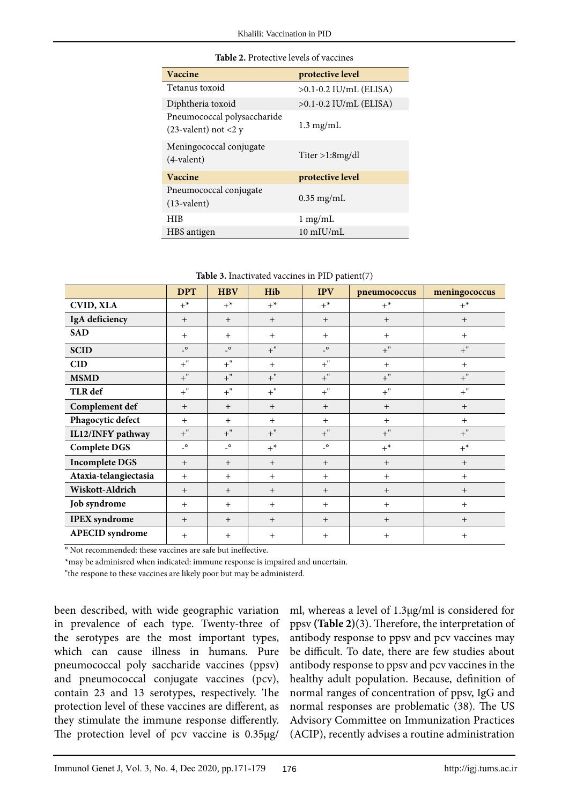| Vaccine                                                | protective level           |  |  |
|--------------------------------------------------------|----------------------------|--|--|
| Tetanus toxoid                                         | $>0.1 - 0.2$ IU/mL (ELISA) |  |  |
| Diphtheria toxoid                                      | $>0.1$ -0.2 IU/mL (ELISA)  |  |  |
| Pneumococcal polysaccharide<br>$(23$ -valent) not <2 y | $1.3 \text{ mg/mL}$        |  |  |
| Meningococcal conjugate<br>$(4$ -valent)               | Titer > 1:8mg/dl           |  |  |
| Vaccine                                                | protective level           |  |  |
| Pneumococcal conjugate<br>$(13$ -valent)               | $0.35$ mg/mL               |  |  |
| <b>HIB</b>                                             | $1 \text{ mg/mL}$          |  |  |
| HBS antigen                                            | $10$ mIU/mL                |  |  |

| <b>Table 2.</b> Protective levels of vaccines |
|-----------------------------------------------|
|                                               |

|                        | <b>DPT</b>                       | <b>HBV</b>                       | Hib   | <b>IPV</b>                       | pneumococcus | meningococcus |  |
|------------------------|----------------------------------|----------------------------------|-------|----------------------------------|--------------|---------------|--|
| <b>CVID, XLA</b>       | $+^*$                            | $+^*$                            | $+^*$ | $+^*$                            | $+^*$        | $+^*$         |  |
| IgA deficiency         | $+$                              | $+$                              | $+$   | $+$                              | $^{+}$       | $+$           |  |
| <b>SAD</b>             | $+$                              | $+$                              | $+$   | $+$                              | $+$          | $+$           |  |
| <b>SCID</b>            | $\overline{\phantom{a}}^{\circ}$ | $\overline{\phantom{a}}^{\circ}$ | $+$ " | $\overline{\phantom{a}}^{\circ}$ | $+$ "        | $+$ "         |  |
| <b>CID</b>             | $+$ "                            | $+$ "                            | $+$   | $+$ "                            | $+$          | $+$           |  |
| <b>MSMD</b>            | $+$ "                            | $+$ "                            | $+$ " | $+$ "                            | $+$ "        | $+$ "         |  |
| TLR def                | $+$ "                            | $+$ "                            | $+$ " | $+$ "                            | $+$ "        | $+$ "         |  |
| Complement def         | $+$                              | $+$                              | $+$   | $+$                              | $^{+}$       | $^{+}$        |  |
| Phagocytic defect      | $+$                              | $+$                              | $+$   | $+$                              | $+$          | $+$           |  |
| IL12/INFY pathway      | $+$ "                            | $+$ "                            | $+$ " | $+$ "                            | $+$ "        | $+$ "         |  |
| <b>Complete DGS</b>    | $\overline{\phantom{a}}^{\circ}$ | $\overline{\phantom{a}}^{\circ}$ | $+^*$ | $\overline{\phantom{a}}^{\circ}$ | $+^*$        | $+^*$         |  |
| <b>Incomplete DGS</b>  | $+$                              | $+$                              | $+$   | $+$                              | $+$          | $+$           |  |
| Ataxia-telangiectasia  | $+$                              | $+$                              | $+$   | $+$                              | $+$          | $+$           |  |
| Wiskott-Aldrich        | $+$                              | $+$                              | $+$   | $+$                              | $^{+}$       | $^{+}$        |  |
| Job syndrome           | $+$                              | $+$                              | $+$   | $+$                              | $+$          | $+$           |  |
| <b>IPEX</b> syndrome   | $+$                              | $+$                              | $+$   | $+$                              | $+$          | $+$           |  |
| <b>APECID</b> syndrome | $+$                              | $+$                              | $+$   | $^{+}$                           | $^{+}$       | $+$           |  |

° Not recommended: these vaccines are safe but ineffective.

\*may be adminisred when indicated: immune response is impaired and uncertain.

"the respone to these vaccines are likely poor but may be administerd.

been described, with wide geographic variation in prevalence of each type. Twenty-three of the serotypes are the most important types, which can cause illness in humans. Pure pneumococcal poly saccharide vaccines (ppsv) and pneumococcal conjugate vaccines (pcv), contain 23 and 13 serotypes, respectively. The protection level of these vaccines are different, as they stimulate the immune response differently. The protection level of pcv vaccine is 0.35µg/

ml, whereas a level of 1.3µg/ml is considered for ppsv **(Table 2)**(3). Therefore, the interpretation of antibody response to ppsv and pcv vaccines may be difficult. To date, there are few studies about antibody response to ppsv and pcv vaccines in the healthy adult population. Because, definition of normal ranges of concentration of ppsv, IgG and normal responses are problematic (38). The US Advisory Committee on Immunization Practices (ACIP), recently advises a routine administration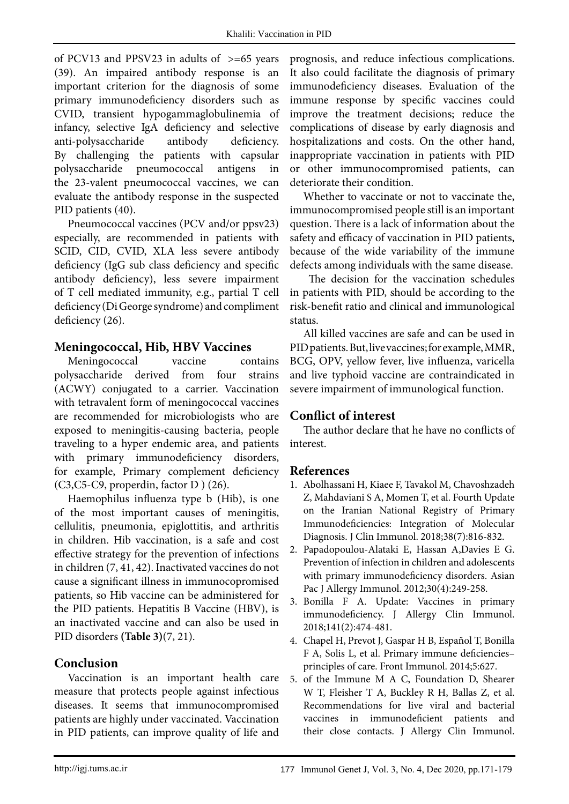of PCV13 and PPSV23 in adults of  $\geq$ =65 years (39). An impaired antibody response is an important criterion for the diagnosis of some primary immunodeficiency disorders such as CVID, transient hypogammaglobulinemia of infancy, selective IgA deficiency and selective anti-polysaccharide antibody deficiency. By challenging the patients with capsular polysaccharide pneumococcal antigens in the 23-valent pneumococcal vaccines, we can evaluate the antibody response in the suspected PID patients (40).

Pneumococcal vaccines (PCV and/or ppsv23) especially, are recommended in patients with SCID, CID, CVID, XLA less severe antibody deficiency (IgG sub class deficiency and specific antibody deficiency), less severe impairment of T cell mediated immunity, e.g., partial T cell deficiency (Di George syndrome) and compliment deficiency (26).

## **Meningococcal, Hib, HBV Vaccines**

Meningococcal vaccine contains polysaccharide derived from four strains (ACWY) conjugated to a carrier. Vaccination with tetravalent form of meningococcal vaccines are recommended for microbiologists who are exposed to meningitis-causing bacteria, people traveling to a hyper endemic area, and patients with primary immunodeficiency disorders, for example, Primary complement deficiency  $(C3, C5-C9,$  properdin, factor D  $)$  (26).

Haemophilus influenza type b (Hib), is one of the most important causes of meningitis, cellulitis, pneumonia, epiglottitis, and arthritis in children. Hib vaccination, is a safe and cost effective strategy for the prevention of infections in children (7, 41, 42). Inactivated vaccines do not cause a significant illness in immunocopromised patients, so Hib vaccine can be administered for the PID patients. Hepatitis B Vaccine (HBV), is an inactivated vaccine and can also be used in PID disorders **(Table 3)**(7, 21).

# **Conclusion**

Vaccination is an important health care measure that protects people against infectious diseases. It seems that immunocompromised patients are highly under vaccinated. Vaccination in PID patients, can improve quality of life and

prognosis, and reduce infectious complications. It also could facilitate the diagnosis of primary immunodeficiency diseases. Evaluation of the immune response by specific vaccines could improve the treatment decisions; reduce the complications of disease by early diagnosis and hospitalizations and costs. On the other hand, inappropriate vaccination in patients with PID or other immunocompromised patients, can deteriorate their condition.

Whether to vaccinate or not to vaccinate the, immunocompromised people still is an important question. There is a lack of information about the safety and efficacy of vaccination in PID patients, because of the wide variability of the immune defects among individuals with the same disease.

 The decision for the vaccination schedules in patients with PID, should be according to the risk-benefit ratio and clinical and immunological status.

All killed vaccines are safe and can be used in PID patients. But, live vaccines; for example, MMR, BCG, OPV, yellow fever, live influenza, varicella and live typhoid vaccine are contraindicated in severe impairment of immunological function.

## **Conflict of interest**

The author declare that he have no conflicts of interest.

## **References**

- 1. Abolhassani H, Kiaee F, Tavakol M, Chavoshzadeh Z, Mahdaviani S A, Momen T, et al. Fourth Update on the Iranian National Registry of Primary Immunodeficiencies: Integration of Molecular Diagnosis. J Clin Immunol. 2018;38(7):816-832.
- 2. Papadopoulou-Alataki E, Hassan A,Davies E G. Prevention of infection in children and adolescents with primary immunodeficiency disorders. Asian Pac J Allergy Immunol. 2012;30(4):249-258.
- 3. Bonilla F A. Update: Vaccines in primary immunodeficiency. J Allergy Clin Immunol. 2018;141(2):474-481.
- 4. Chapel H, Prevot J, Gaspar H B, Español T, Bonilla F A, Solis L, et al. Primary immune deficiencies– principles of care. Front Immunol. 2014;5:627.
- 5. of the Immune M A C, Foundation D, Shearer W T, Fleisher T A, Buckley R H, Ballas Z, et al. Recommendations for live viral and bacterial vaccines in immunodeficient patients and their close contacts. J Allergy Clin Immunol.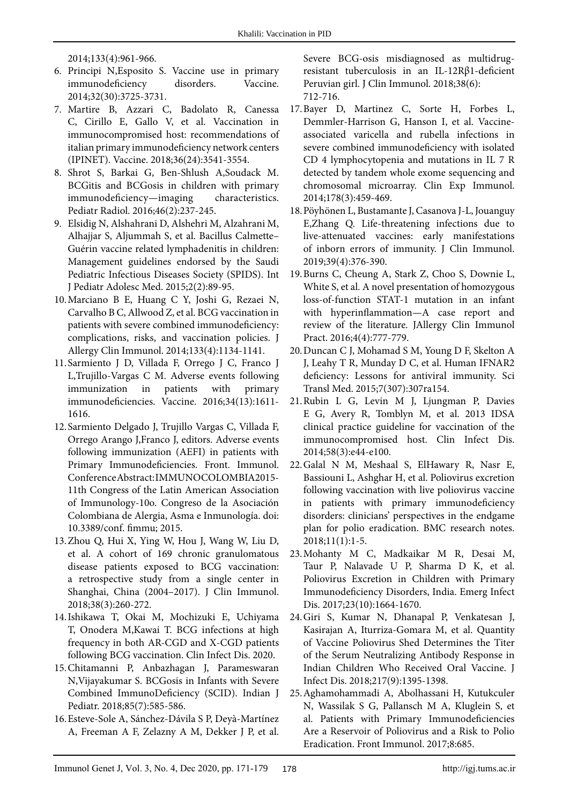2014;133(4):961-966.

- 6. Principi N,Esposito S. Vaccine use in primary immunodeficiency disorders. Vaccine. 2014;32(30):3725-3731.
- 7. Martire B, Azzari C, Badolato R, Canessa C, Cirillo E, Gallo V, et al. Vaccination in immunocompromised host: recommendations of italian primary immunodeficiency network centers (IPINET). Vaccine. 2018;36(24):3541-3554.
- 8. Shrot S, Barkai G, Ben-Shlush A,Soudack M. BCGitis and BCGosis in children with primary immunodeficiency—imaging characteristics. Pediatr Radiol. 2016;46(2):237-245.
- 9. Elsidig N, Alshahrani D, Alshehri M, Alzahrani M, Alhajjar S, Aljummah S, et al. Bacillus Calmette– Guérin vaccine related lymphadenitis in children: Management guidelines endorsed by the Saudi Pediatric Infectious Diseases Society (SPIDS). Int J Pediatr Adolesc Med. 2015;2(2):89-95.
- 10.Marciano B E, Huang C Y, Joshi G, Rezaei N, Carvalho B C, Allwood Z, et al. BCG vaccination in patients with severe combined immunodeficiency: complications, risks, and vaccination policies. J Allergy Clin Immunol. 2014;133(4):1134-1141.
- 11.Sarmiento J D, Villada F, Orrego J C, Franco J L,Trujillo-Vargas C M. Adverse events following immunization in patients with primary immunodeficiencies. Vaccine. 2016;34(13):1611- 1616.
- 12.Sarmiento Delgado J, Trujillo Vargas C, Villada F, Orrego Arango J,Franco J, editors. Adverse events following immunization (AEFI) in patients with Primary Immunodeficiencies. Front. Immunol. Conference Abstract: IMMUNOCOLOMBIA2015- 11th Congress of the Latin American Association of Immunology-10o. Congreso de la Asociación Colombiana de Alergia, Asma e Inmunología. doi: 10.3389/conf. fimmu; 2015.
- 13.Zhou Q, Hui X, Ying W, Hou J, Wang W, Liu D, et al. A cohort of 169 chronic granulomatous disease patients exposed to BCG vaccination: a retrospective study from a single center in Shanghai, China (2004–2017). J Clin Immunol. 2018;38(3):260-272.
- 14.Ishikawa T, Okai M, Mochizuki E, Uchiyama T, Onodera M,Kawai T. BCG infections at high frequency in both AR-CGD and X-CGD patients following BCG vaccination. Clin Infect Dis. 2020.
- 15.Chitamanni P, Anbazhagan J, Parameswaran N,Vijayakumar S. BCGosis in Infants with Severe Combined ImmunoDeficiency (SCID). Indian J Pediatr. 2018;85(7):585-586.
- 16.Esteve-Sole A, Sánchez-Dávila S P, Deyà-Martínez A, Freeman A F, Zelazny A M, Dekker J P, et al.

Severe BCG-osis misdiagnosed as multidrugresistant tuberculosis in an IL-12Rβ1-deficient Peruvian girl. J Clin Immunol. 2018;38(6): 712-716.

- 17.Bayer D, Martinez C, Sorte H, Forbes L, Demmler‐Harrison G, Hanson I, et al. Vaccine‐ associated varicella and rubella infections in severe combined immunodeficiency with isolated CD 4 lymphocytopenia and mutations in IL 7 R detected by tandem whole exome sequencing and chromosomal microarray. Clin Exp Immunol. 2014;178(3):459-469.
- 18.Pöyhönen L, Bustamante J, Casanova J-L, Jouanguy E,Zhang Q. Life-threatening infections due to live-attenuated vaccines: early manifestations of inborn errors of immunity. J Clin Immunol. 2019;39(4):376-390.
- 19.Burns C, Cheung A, Stark Z, Choo S, Downie L, White S, et al. A novel presentation of homozygous loss-of-function STAT-1 mutation in an infant with hyperinflammation—A case report and review of the literature. JAllergy Clin Immunol Pract. 2016;4(4):777-779.
- 20.Duncan C J, Mohamad S M, Young D F, Skelton A J, Leahy T R, Munday D C, et al. Human IFNAR2 deficiency: Lessons for antiviral immunity. Sci Transl Med. 2015;7(307):307ra154.
- 21.Rubin L G, Levin M J, Ljungman P, Davies E G, Avery R, Tomblyn M, et al. 2013 IDSA clinical practice guideline for vaccination of the immunocompromised host. Clin Infect Dis. 2014;58(3):e44-e100.
- 22.Galal N M, Meshaal S, ElHawary R, Nasr E, Bassiouni L, Ashghar H, et al. Poliovirus excretion following vaccination with live poliovirus vaccine in patients with primary immunodeficiency disorders: clinicians' perspectives in the endgame plan for polio eradication. BMC research notes. 2018;11(1):1-5.
- 23.Mohanty M C, Madkaikar M R, Desai M, Taur P, Nalavade U P, Sharma D K, et al. Poliovirus Excretion in Children with Primary Immunodeficiency Disorders, India. Emerg Infect Dis. 2017;23(10):1664-1670.
- 24.Giri S, Kumar N, Dhanapal P, Venkatesan J, Kasirajan A, Iturriza-Gomara M, et al. Quantity of Vaccine Poliovirus Shed Determines the Titer of the Serum Neutralizing Antibody Response in Indian Children Who Received Oral Vaccine. J Infect Dis. 2018;217(9):1395-1398.
- 25.Aghamohammadi A, Abolhassani H, Kutukculer N, Wassilak S G, Pallansch M A, Kluglein S, et al. Patients with Primary Immunodeficiencies Are a Reservoir of Poliovirus and a Risk to Polio Eradication. Front Immunol. 2017;8:685.